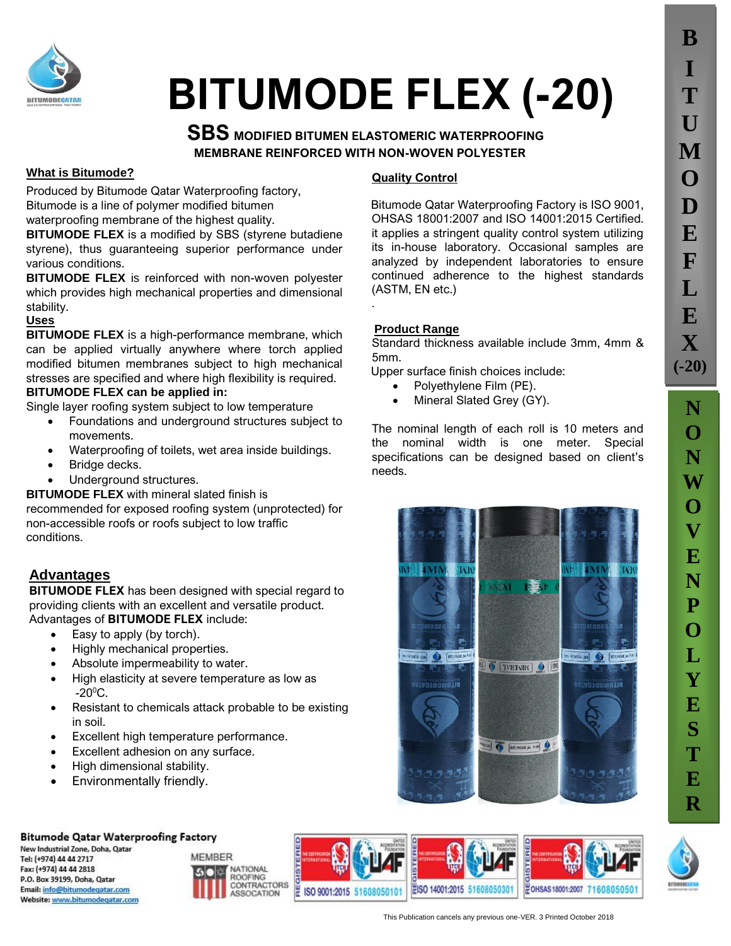

# **BITUMODE FLEX (-20)**

## **SBS MODIFIED BITUMEN ELASTOMERIC WATERPROOFING MEMBRANE REINFORCED WITH NON-WOVEN POLYESTER**

.

#### **What is Bitumode?**

Produced by Bitumode Qatar Waterproofing factory, Bitumode is a line of polymer modified bitumen waterproofing membrane of the highest quality.

**BITUMODE FLEX** is a modified by SBS (styrene butadiene styrene), thus guaranteeing superior performance under various conditions.

**BITUMODE FLEX** is reinforced with non-woven polyester which provides high mechanical properties and dimensional stability.

#### **Uses**

**BITUMODE FLEX** is a high-performance membrane, which can be applied virtually anywhere where torch applied modified bitumen membranes subject to high mechanical stresses are specified and where high flexibility is required. **BITUMODE FLEX can be applied in:**

#### Single layer roofing system subject to low temperature

- Foundations and underground structures subject to movements.
	- Waterproofing of toilets, wet area inside buildings.
- Bridge decks.
- Underground structures.

#### **BITUMODE FLEX** with mineral slated finish is

recommended for exposed roofing system (unprotected) for non-accessible roofs or roofs subject to low traffic conditions.

### **Advantages**

**BITUMODE FLEX** has been designed with special regard to providing clients with an excellent and versatile product. Advantages of **BITUMODE FLEX** include:

- Easy to apply (by torch).
- Highly mechanical properties.
- Absolute impermeability to water.
- High elasticity at severe temperature as low as  $-20^{\circ}$ C.
- Resistant to chemicals attack probable to be existing in soil.
- Excellent high temperature performance.
- Excellent adhesion on any surface.
- High dimensional stability.
- Environmentally friendly.

#### **Quality Control**

Bitumode Qatar Waterproofing Factory is ISO 9001, OHSAS 18001:2007 and ISO 14001:2015 Certified. it applies a stringent quality control system utilizing its in-house laboratory. Occasional samples are analyzed by independent laboratories to ensure continued adherence to the highest standards (ASTM, EN etc.)

#### **Product Range**

Standard thickness available include 3mm, 4mm & 5mm.

Upper surface finish choices include:

- Polyethylene Film (PE).
- Mineral Slated Grey (GY).

The nominal length of each roll is 10 meters and the nominal width is one meter. Special specifications can be designed based on client's needs.





**Bitumode Qatar Waterproofing Factory** 

New Industrial Zone, Doha, Qatar Tel: (+974) 44 44 2717 Fax: (+974) 44 44 2818 P.O. Box 39199, Doha, Qatar Email: info@bitumodegatar.com Website: www.bitumodegatar.com